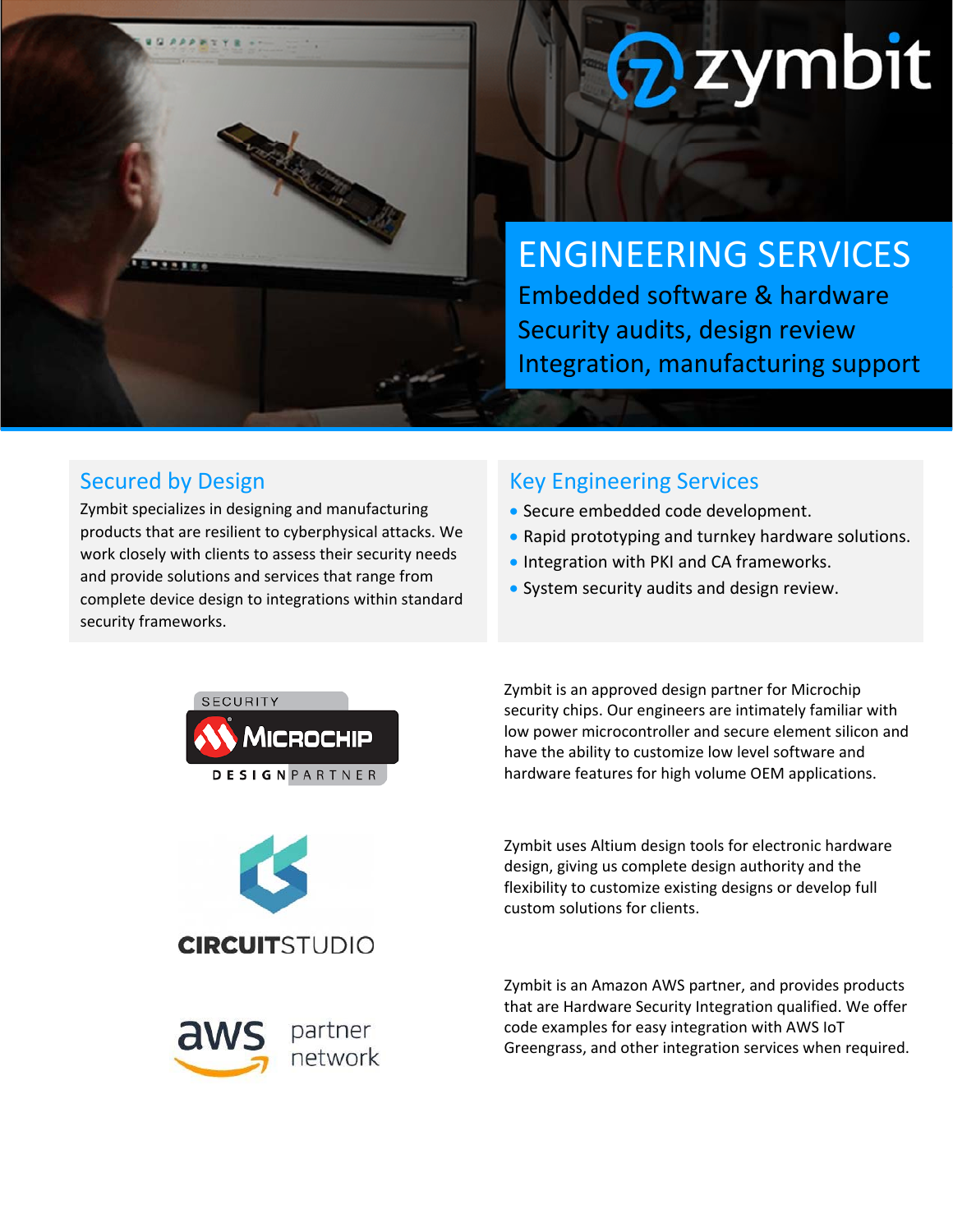

# zymbit

## ENGINEERING SERVICES

Embedded software & hardware Security audits, design review Integration, manufacturing support

#### Secured by Design

Zymbit specializes in designing and manufacturing products that are resilient to cyberphysical attacks. We work closely with clients to assess their security needs and provide solutions and services that range from complete device design to integrations within standard security frameworks.

#### Key Engineering Services

- Secure embedded code development.
- Rapid prototyping and turnkey hardware solutions.
- **Integration with PKI and CA frameworks.**
- System security audits and design review.

Zymbit is an approved design partner for Microchip security chips. Our engineers are intimately familiar with low power microcontroller and secure element silicon and

have the ability to customize low level software and hardware features for high volume OEM applications.



**CIRCUITSTUDIO** 



Zymbit is an Amazon AWS partner, and provides products that are Hardware Security Integration qualified. We offer code examples for easy integration with AWS IoT Greengrass, and other integration services when required.